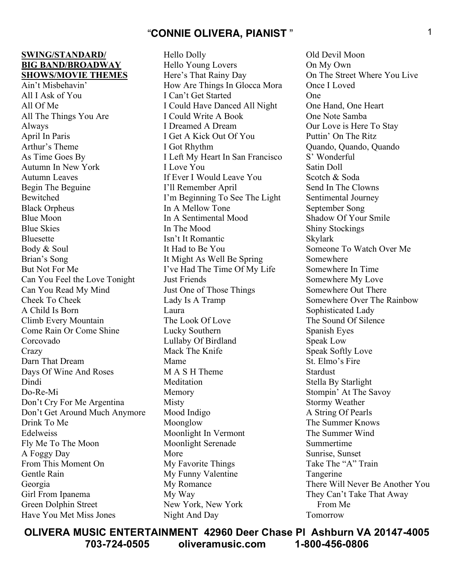#### **SWING/STANDARD/ BIG BAND/BROADWAY SHOWS/MOVIE THEMES**

Ain't Misbehavin' All I Ask of You All Of Me All The Things You Are Always April In Paris Arthur's Theme As Time Goes By Autumn In New York Autumn Leaves Begin The Beguine Bewitched Black Orpheus Blue Moon Blue Skies Bluesette Body & Soul Brian's Song But Not For Me Can You Feel the Love Tonight Can You Read My Mind Cheek To Cheek A Child Is Born Climb Every Mountain Come Rain Or Come Shine Corcovado **Crazy** Darn That Dream Days Of Wine And Roses Dindi Do-Re-Mi Don't Cry For Me Argentina Don't Get Around Much Anymore Drink To Me Edelweiss Fly Me To The Moon A Foggy Day From This Moment On Gentle Rain Georgia Girl From Ipanema Green Dolphin Street Have You Met Miss Jones

Hello Dolly Hello Young Lovers Here's That Rainy Day How Are Things In Glocca Mora I Can't Get Started I Could Have Danced All Night I Could Write A Book I Dreamed A Dream I Get A Kick Out Of You I Got Rhythm I Left My Heart In San Francisco I Love You If Ever I Would Leave You I'll Remember April I'm Beginning To See The Light In A Mellow Tone In A Sentimental Mood In The Mood Isn't It Romantic It Had to Be You It Might As Well Be Spring I've Had The Time Of My Life Just Friends Just One of Those Things Lady Is A Tramp Laura The Look Of Love Lucky Southern Lullaby Of Birdland Mack The Knife Mame M A S H Theme **Meditation** Memory Misty Mood Indigo Moonglow Moonlight In Vermont Moonlight Serenade More My Favorite Things My Funny Valentine My Romance My Way New York, New York Night And Day

Old Devil Moon On My Own On The Street Where You Live Once I Loved One One Hand, One Heart One Note Samba Our Love is Here To Stay Puttin' On The Ritz Quando, Quando, Quando S' Wonderful Satin Doll Scotch & Soda Send In The Clowns Sentimental Journey September Song Shadow Of Your Smile Shiny Stockings Skylark Someone To Watch Over Me Somewhere Somewhere In Time Somewhere My Love Somewhere Out There Somewhere Over The Rainbow Sophisticated Lady The Sound Of Silence Spanish Eyes Speak Low Speak Softly Love St. Elmo's Fire Stardust Stella By Starlight Stompin' At The Savoy Stormy Weather A String Of Pearls The Summer Knows The Summer Wind Summertime Sunrise, Sunset Take The "A" Train Tangerine There Will Never Be Another You They Can't Take That Away From Me Tomorrow

**OLIVERA MUSIC ENTERTAINMENT 42960 Deer Chase Pl Ashburn VA 20147-4005 703-724-0505 oliveramusic.com 1-800-456-0806**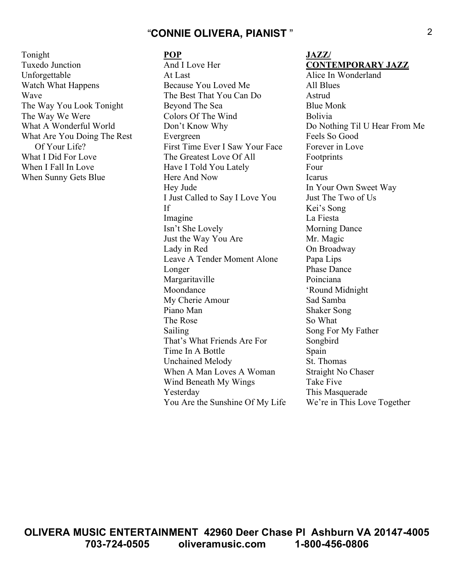Tonight Tuxedo Junction Unforgettable Watch What Happens Wave The Way You Look Tonight The Way We Were What A Wonderful World What Are You Doing The Rest Of Your Life? What I Did For Love When I Fall In Love When Sunny Gets Blue

#### **POP**

And I Love Her At Last Because You Loved Me The Best That You Can Do Beyond The Sea Colors Of The Wind Don't Know Why Evergreen First Time Ever I Saw Your Face The Greatest Love Of All Have I Told You Lately Here And Now Hey Jude I Just Called to Say I Love You If Imagine Isn't She Lovely Just the Way You Are Lady in Red Leave A Tender Moment Alone Longer Margaritaville Moondance My Cherie Amour Piano Man The Rose Sailing That's What Friends Are For Time In A Bottle Unchained Melody When A Man Loves A Woman Wind Beneath My Wings Yesterday You Are the Sunshine Of My Life

#### **JAZZ/ CONTEMPORARY JAZZ**

Alice In Wonderland All Blues **Astrud** Blue Monk Bolivia Do Nothing Til U Hear From Me Feels So Good Forever in Love Footprints Four Icarus In Your Own Sweet Way Just The Two of Us Kei's Song La Fiesta Morning Dance Mr. Magic On Broadway Papa Lips Phase Dance Poinciana 'Round Midnight Sad Samba Shaker Song So What Song For My Father Songbird Spain St. Thomas Straight No Chaser Take Five This Masquerade We're in This Love Together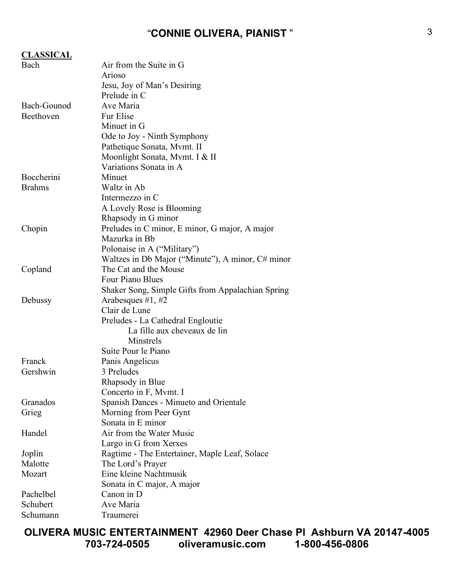| <b>CLASSICAL</b> |                                                   |
|------------------|---------------------------------------------------|
| Bach             | Air from the Suite in G                           |
|                  | Arioso                                            |
|                  | Jesu, Joy of Man's Desiring                       |
|                  | Prelude in C                                      |
| Bach-Gounod      | Ave Maria                                         |
| Beethoven        | Fur Elise                                         |
|                  | Minuet in G                                       |
|                  | Ode to Joy - Ninth Symphony                       |
|                  | Pathetique Sonata, Mymt. II                       |
|                  | Moonlight Sonata, Mvmt. I & II                    |
|                  | Variations Sonata in A                            |
| Boccherini       | Minuet                                            |
| <b>Brahms</b>    | Waltz in Ab                                       |
|                  | Intermezzo in C                                   |
|                  | A Lovely Rose is Blooming                         |
|                  | Rhapsody in G minor                               |
| Chopin           | Preludes in C minor, E minor, G major, A major    |
|                  | Mazurka in Bb                                     |
|                  | Polonaise in A ("Military")                       |
|                  | Waltzes in Db Major ("Minute"), A minor, C# minor |
| Copland          | The Cat and the Mouse                             |
|                  | Four Piano Blues                                  |
|                  | Shaker Song, Simple Gifts from Appalachian Spring |
| Debussy          | Arabesques $#1, #2$                               |
|                  | Clair de Lune                                     |
|                  | Preludes - La Cathedral Engloutie                 |
|                  | La fille aux cheveaux de lin                      |
|                  | Minstrels                                         |
|                  | Suite Pour le Piano                               |
| Franck           | Panis Angelicus                                   |
| Gershwin         | 3 Preludes                                        |
|                  | Rhapsody in Blue                                  |
|                  | Concerto in F, Mymt. I                            |
| Granados         | Spanish Dances - Minueto and Orientale            |
| Grieg            | Morning from Peer Gynt                            |
|                  | Sonata in E minor                                 |
| Handel           | Air from the Water Music                          |
|                  | Largo in G from Xerxes                            |
| Joplin           | Ragtime - The Entertainer, Maple Leaf, Solace     |
| Malotte          | The Lord's Prayer                                 |
| Mozart           | Eine kleine Nachtmusik                            |
|                  | Sonata in C major, A major                        |
| Pachelbel        | Canon in D                                        |
| Schubert         | Ave Maria                                         |
| Schumann         | Traumerei                                         |

**OLIVERA MUSIC ENTERTAINMENT 42960 Deer Chase Pl Ashburn VA 20147-4005 703-724-0505 oliveramusic.com 1-800-456-0806**